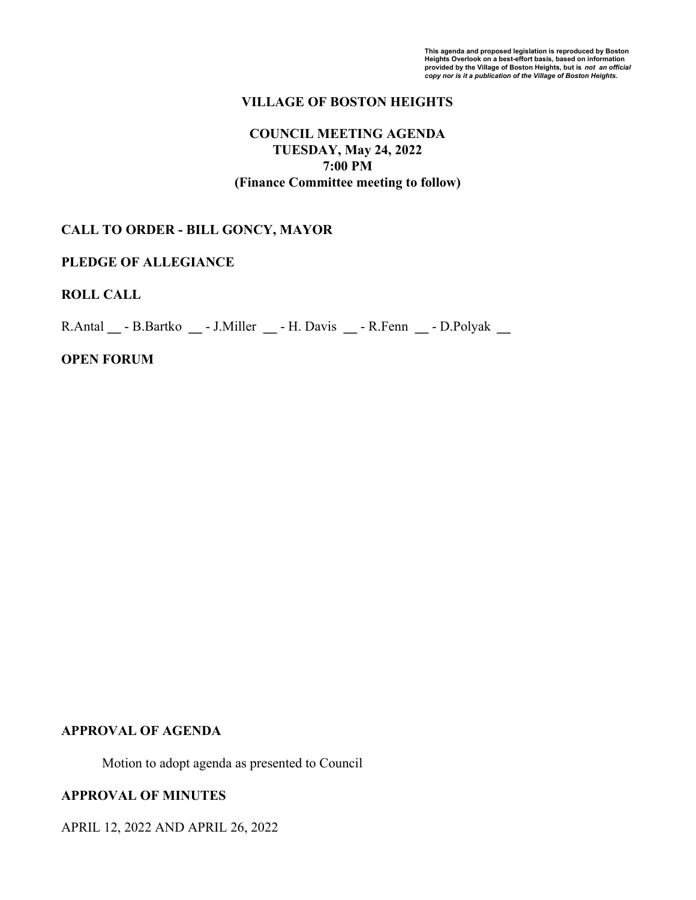## **VILLAGE OF BOSTON HEIGHTS**

## **COUNCIL MEETING AGENDA TUESDAY, May 24, 2022 7:00 PM (Finance Committee meeting to follow)**

## **CALL TO ORDER - BILL GONCY, MAYOR**

#### **PLEDGE OF ALLEGIANCE**

## **ROLL CALL**

R.Antal **\_\_** - B.Bartko **\_\_** - J.Miller **\_\_** - H. Davis **\_\_** - R.Fenn **\_\_** - D.Polyak **\_\_**

## **OPEN FORUM**

#### **APPROVAL OF AGENDA**

Motion to adopt agenda as presented to Council

## **APPROVAL OF MINUTES**

APRIL 12, 2022 AND APRIL 26, 2022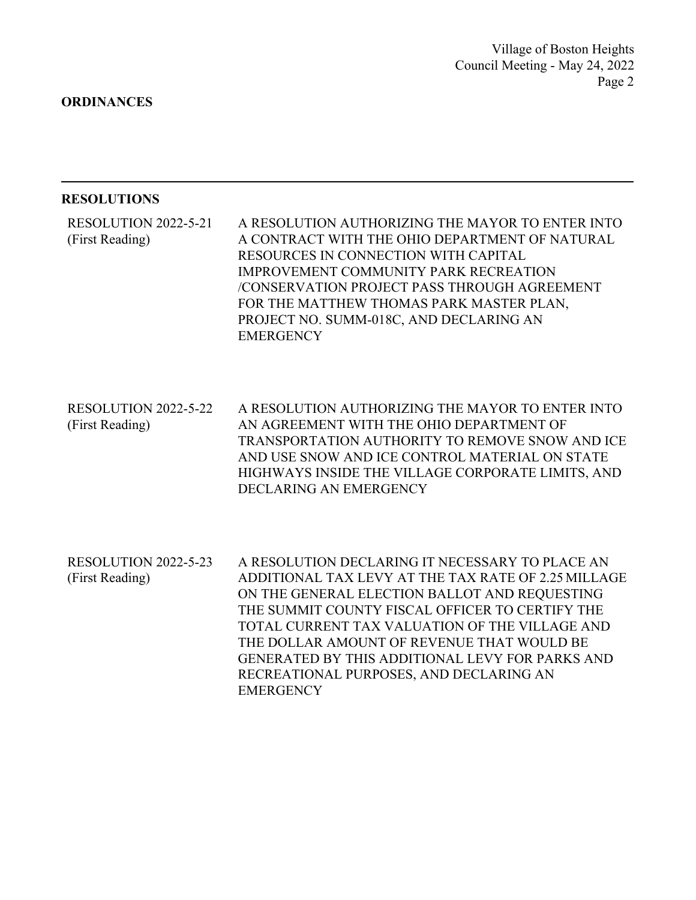**ORDINANCES**

#### **RESOLUTIONS**

A RESOLUTION AUTHORIZING THE MAYOR TO ENTER INTO A CONTRACT WITH THE OHIO DEPARTMENT OF NATURAL RESOURCES IN CONNECTION WITH CAPITAL IMPROVEMENT COMMUNITY PARK RECREATION /CONSERVATION PROJECT PASS THROUGH AGREEMENT FOR THE MATTHEW THOMAS PARK MASTER PLAN, PROJECT NO. SUMM-018C, AND DECLARING AN **EMERGENCY** RESOLUTION 2022-5-21 (First Reading)

A RESOLUTION AUTHORIZING THE MAYOR TO ENTER INTO AN AGREEMENT WITH THE OHIO DEPARTMENT OF TRANSPORTATION AUTHORITY TO REMOVE SNOW AND ICE AND USE SNOW AND ICE CONTROL MATERIAL ON STATE HIGHWAYS INSIDE THE VILLAGE CORPORATE LIMITS, AND DECLARING AN EMERGENCY RESOLUTION 2022-5-22 (First Reading)

A RESOLUTION DECLARING IT NECESSARY TO PLACE AN ADDITIONAL TAX LEVY AT THE TAX RATE OF 2.25 MILLAGE ON THE GENERAL ELECTION BALLOT AND REQUESTING THE SUMMIT COUNTY FISCAL OFFICER TO CERTIFY THE TOTAL CURRENT TAX VALUATION OF THE VILLAGE AND THE DOLLAR AMOUNT OF REVENUE THAT WOULD BE GENERATED BY THIS ADDITIONAL LEVY FOR PARKS AND RECREATIONAL PURPOSES, AND DECLARING AN **EMERGENCY** RESOLUTION 2022-5-23 (First Reading)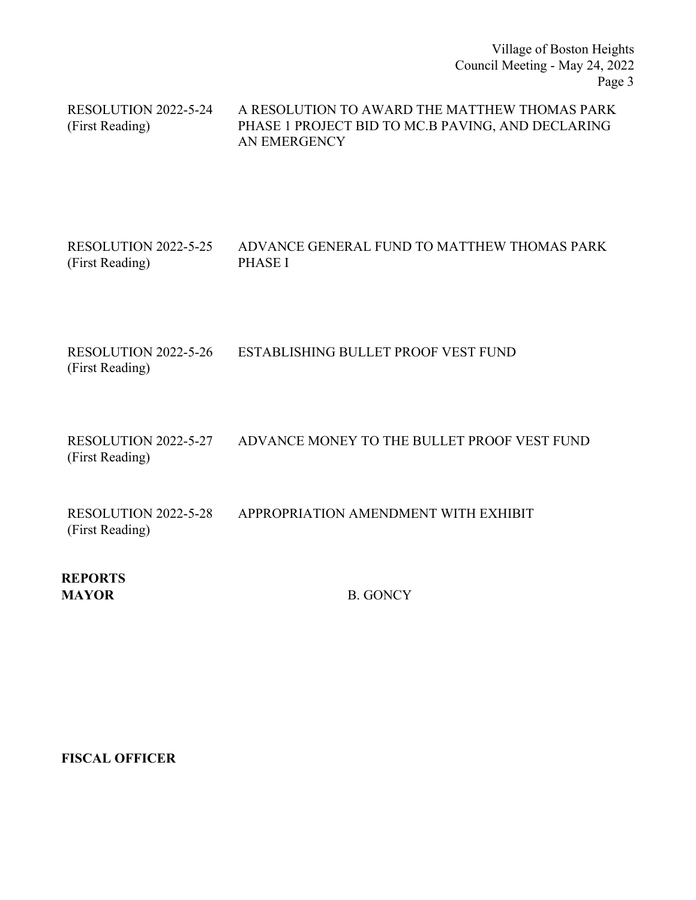Village of Boston Heights Council Meeting - May 24, 2022 Page 3

A RESOLUTION TO AWARD THE MATTHEW THOMAS PARK PHASE 1 PROJECT BID TO MC.B PAVING, AND DECLARING AN EMERGENCY RESOLUTION 2022-5-24 (First Reading)

#### ADVANCE GENERAL FUND TO MATTHEW THOMAS PARK PHASE I RESOLUTION 2022-5-25 (First Reading)

RESOLUTION 2022-5-26 ESTABLISHING BULLET PROOF VEST FUND (First Reading)

RESOLUTION 2022-5-27 ADVANCE MONEY TO THE BULLET PROOF VEST FUND (First Reading)

RESOLUTION 2022-5-28 APPROPRIATION AMENDMENT WITH EXHIBIT (First Reading)

**REPORTS MAYOR** B. GONCY

**FISCAL OFFICER**